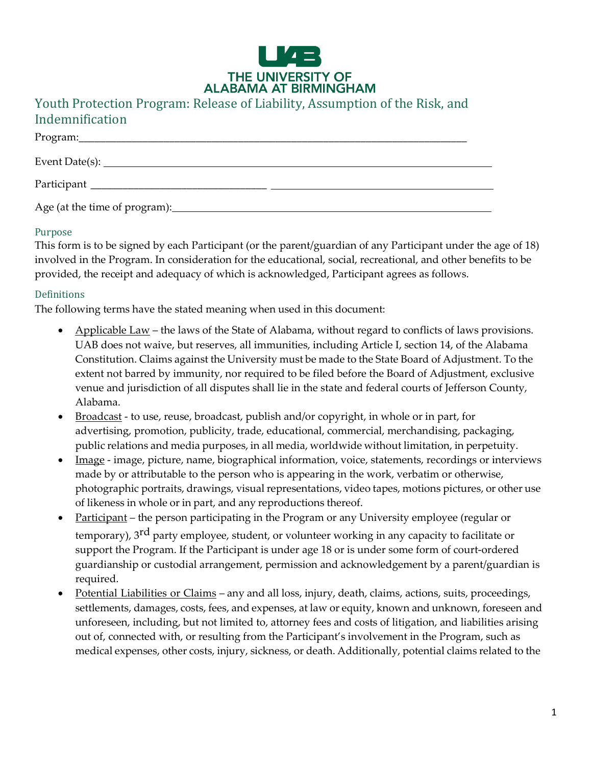

# Youth Protection Program: Release of Liability, Assumption of the Risk, and Indemnification

| Participant                   |  |
|-------------------------------|--|
| Age (at the time of program): |  |

### Purpose

This form is to be signed by each Participant (or the parent/guardian of any Participant under the age of 18) involved in the Program. In consideration for the educational, social, recreational, and other benefits to be provided, the receipt and adequacy of which is acknowledged, Participant agrees as follows.

### Definitions

The following terms have the stated meaning when used in this document:

- Applicable Law the laws of the State of Alabama, without regard to conflicts of laws provisions. UAB does not waive, but reserves, all immunities, including Article I, section 14, of the Alabama Constitution. Claims against the University must be made to the State Board of Adjustment. To the extent not barred by immunity, nor required to be filed before the Board of Adjustment, exclusive venue and jurisdiction of all disputes shall lie in the state and federal courts of Jefferson County, Alabama.
- Broadcast to use, reuse, broadcast, publish and/or copyright, in whole or in part, for advertising, promotion, publicity, trade, educational, commercial, merchandising, packaging, public relations and media purposes, in all media, worldwide without limitation, in perpetuity.
- Image image, picture, name, biographical information, voice, statements, recordings or interviews made by or attributable to the person who is appearing in the work, verbatim or otherwise, photographic portraits, drawings, visual representations, video tapes, motions pictures, or other use of likeness in whole or in part, and any reproductions thereof.
- Participant the person participating in the Program or any University employee (regular or temporary), 3rd party employee, student, or volunteer working in any capacity to facilitate or support the Program. If the Participant is under age 18 or is under some form of court-ordered guardianship or custodial arrangement, permission and acknowledgement by a parent/guardian is required.
- Potential Liabilities or Claims any and all loss, injury, death, claims, actions, suits, proceedings, settlements, damages, costs, fees, and expenses, at law or equity, known and unknown, foreseen and unforeseen, including, but not limited to, attorney fees and costs of litigation, and liabilities arising out of, connected with, or resulting from the Participant's involvement in the Program, such as medical expenses, other costs, injury, sickness, or death. Additionally, potential claims related to the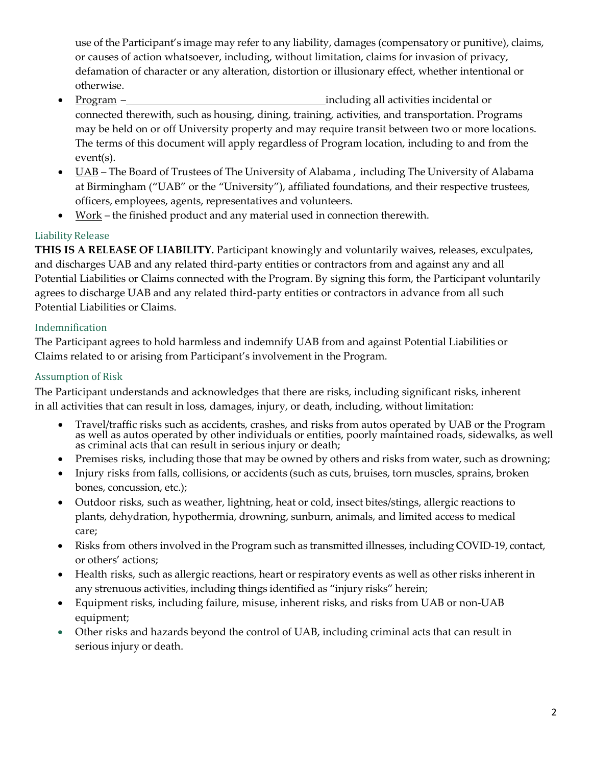use of the Participant's image may refer to any liability, damages (compensatory or punitive), claims, or causes of action whatsoever, including, without limitation, claims for invasion of privacy, defamation of character or any alteration, distortion or illusionary effect, whether intentional or otherwise.

- Program including all activities incidental or connected therewith, such as housing, dining, training, activities, and transportation. Programs may be held on or off University property and may require transit between two or more locations. The terms of this document will apply regardless of Program location, including to and from the event(s).
- UAB The Board of Trustees of The University of Alabama, including The University of Alabama at Birmingham ("UAB" or the "University"), affiliated foundations, and their respective trustees, officers, employees, agents, representatives and volunteers.
- Work the finished product and any material used in connection therewith.

## Liability Release

**THIS IS A RELEASE OF LIABILITY.** Participant knowingly and voluntarily waives, releases, exculpates, and discharges UAB and any related third-party entities or contractors from and against any and all Potential Liabilities or Claims connected with the Program. By signing this form, the Participant voluntarily agrees to discharge UAB and any related third-party entities or contractors in advance from all such Potential Liabilities or Claims.

## Indemnification

The Participant agrees to hold harmless and indemnify UAB from and against Potential Liabilities or Claims related to or arising from Participant's involvement in the Program.

## Assumption of Risk

The Participant understands and acknowledges that there are risks, including significant risks, inherent in all activities that can result in loss, damages, injury, or death, including, without limitation:

- Travel/traffic risks such as accidents, crashes, and risks from autos operated by UAB or the Program as well as autos operated by other individuals or entities, poorly maintained roads, sidewalks, as well as criminal acts that can result in serious injury or death;
- Premises risks, including those that may be owned by others and risks from water, such as drowning;
- Injury risks from falls, collisions, or accidents (such as cuts, bruises, torn muscles, sprains, broken bones, concussion, etc.);
- Outdoor risks, such as weather, lightning, heat or cold, insect bites/stings, allergic reactions to plants, dehydration, hypothermia, drowning, sunburn, animals, and limited access to medical care;
- Risks from others involved in the Program such as transmitted illnesses, including COVID-19, contact, or others' actions;
- Health risks, such as allergic reactions, heart or respiratory events as well as other risks inherent in any strenuous activities, including things identified as "injury risks" herein;
- Equipment risks, including failure, misuse, inherent risks, and risks from UAB or non-UAB equipment;
- Other risks and hazards beyond the control of UAB, including criminal acts that can result in serious injury or death.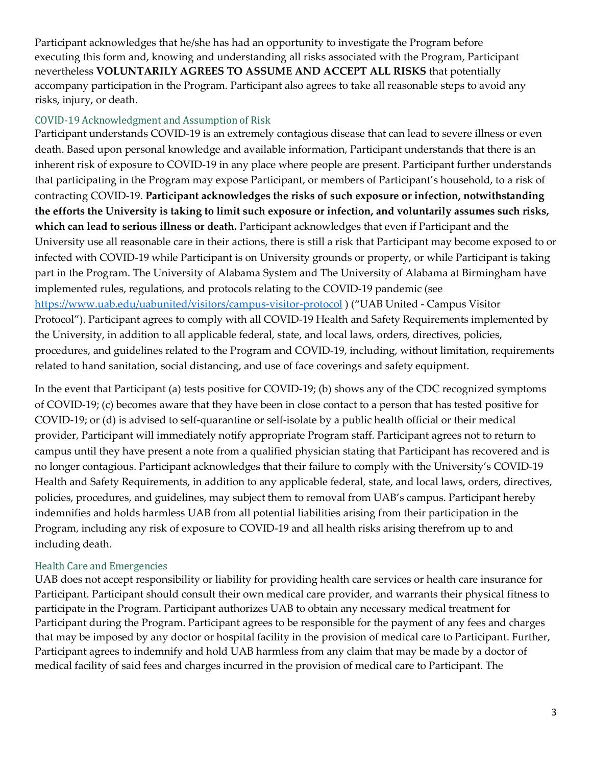Participant acknowledges that he/she has had an opportunity to investigate the Program before executing this form and, knowing and understanding all risks associated with the Program, Participant nevertheless **VOLUNTARILY AGREES TO ASSUME AND ACCEPT ALL RISKS** that potentially accompany participation in the Program. Participant also agrees to take all reasonable steps to avoid any risks, injury, or death.

### COVID-19 Acknowledgment and Assumption of Risk

Participant understands COVID-19 is an extremely contagious disease that can lead to severe illness or even death. Based upon personal knowledge and available information, Participant understands that there is an inherent risk of exposure to COVID-19 in any place where people are present. Participant further understands that participating in the Program may expose Participant, or members of Participant's household, to a risk of contracting COVID-19. **Participant acknowledges the risks of such exposure or infection, notwithstanding the efforts the University is taking to limit such exposure or infection, and voluntarily assumes such risks, which can lead to serious illness or death.** Participant acknowledges that even if Participant and the University use all reasonable care in their actions, there is still a risk that Participant may become exposed to or infected with COVID-19 while Participant is on University grounds or property, or while Participant is taking part in the Program. The University of Alabama System and The University of Alabama at Birmingham have implemented rules, regulations, and protocols relating to the COVID-19 pandemic (see <https://www.uab.edu/uabunited/visitors/campus-visitor-protocol> ) ("UAB United - Campus Visitor Protocol"). Participant agrees to comply with all COVID-19 Health and Safety Requirements implemented by the University, in addition to all applicable federal, state, and local laws, orders, directives, policies, procedures, and guidelines related to the Program and COVID-19, including, without limitation, requirements related to hand sanitation, social distancing, and use of face coverings and safety equipment.

In the event that Participant (a) tests positive for COVID-19; (b) shows any of the CDC recognized symptoms of COVID-19; (c) becomes aware that they have been in close contact to a person that has tested positive for COVID-19; or (d) is advised to self-quarantine or self-isolate by a public health official or their medical provider, Participant will immediately notify appropriate Program staff. Participant agrees not to return to campus until they have present a note from a qualified physician stating that Participant has recovered and is no longer contagious. Participant acknowledges that their failure to comply with the University's COVID-19 Health and Safety Requirements, in addition to any applicable federal, state, and local laws, orders, directives, policies, procedures, and guidelines, may subject them to removal from UAB's campus. Participant hereby indemnifies and holds harmless UAB from all potential liabilities arising from their participation in the Program, including any risk of exposure to COVID-19 and all health risks arising therefrom up to and including death.

## Health Care and Emergencies

UAB does not accept responsibility or liability for providing health care services or health care insurance for Participant. Participant should consult their own medical care provider, and warrants their physical fitness to participate in the Program. Participant authorizes UAB to obtain any necessary medical treatment for Participant during the Program. Participant agrees to be responsible for the payment of any fees and charges that may be imposed by any doctor or hospital facility in the provision of medical care to Participant. Further, Participant agrees to indemnify and hold UAB harmless from any claim that may be made by a doctor of medical facility of said fees and charges incurred in the provision of medical care to Participant. The